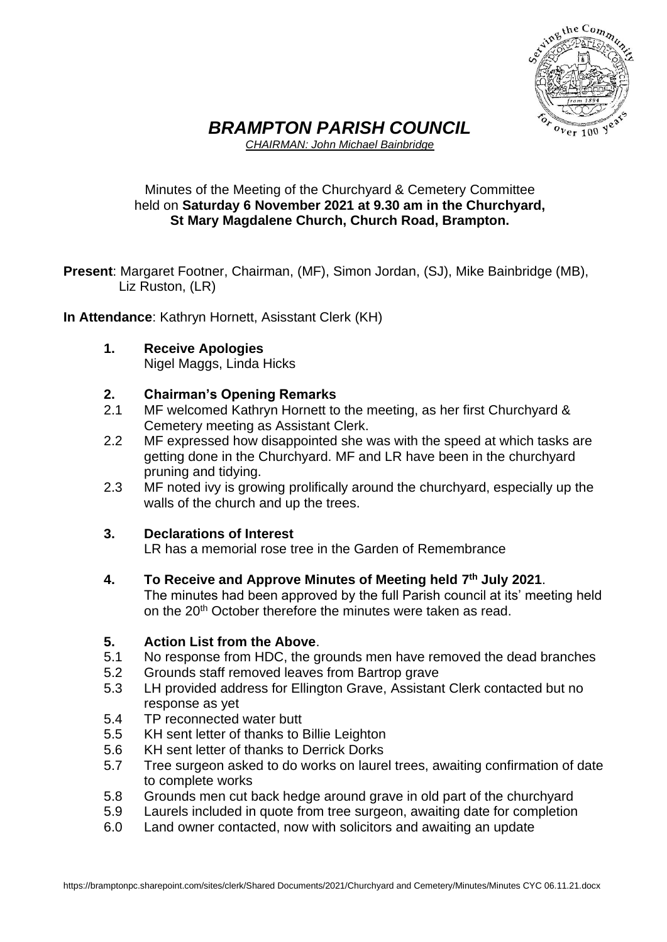

# *BRAMPTON PARISH COUNCIL*

*CHAIRMAN: John Michael Bainbridge*

### Minutes of the Meeting of the Churchyard & Cemetery Committee held on **Saturday 6 November 2021 at 9.30 am in the Churchyard, St Mary Magdalene Church, Church Road, Brampton.**

**Present**: Margaret Footner, Chairman, (MF), Simon Jordan, (SJ), Mike Bainbridge (MB), Liz Ruston, (LR)

**In Attendance**: Kathryn Hornett, Asisstant Clerk (KH)

**1. Receive Apologies** Nigel Maggs, Linda Hicks

## **2. Chairman's Opening Remarks**

- 2.1 MF welcomed Kathryn Hornett to the meeting, as her first Churchyard & Cemetery meeting as Assistant Clerk.
- 2.2 MF expressed how disappointed she was with the speed at which tasks are getting done in the Churchyard. MF and LR have been in the churchyard pruning and tidying.
- 2.3 MF noted ivy is growing prolifically around the churchyard, especially up the walls of the church and up the trees.

### **3. Declarations of Interest**

LR has a memorial rose tree in the Garden of Remembrance

**4. To Receive and Approve Minutes of Meeting held 7 th July 2021**.

The minutes had been approved by the full Parish council at its' meeting held on the 20<sup>th</sup> October therefore the minutes were taken as read.

### **5. Action List from the Above**.

- 5.1 No response from HDC, the grounds men have removed the dead branches
- 5.2 Grounds staff removed leaves from Bartrop grave
- 5.3 LH provided address for Ellington Grave, Assistant Clerk contacted but no response as yet
- 5.4 TP reconnected water butt
- 5.5 KH sent letter of thanks to Billie Leighton
- 5.6 KH sent letter of thanks to Derrick Dorks
- 5.7 Tree surgeon asked to do works on laurel trees, awaiting confirmation of date to complete works
- 5.8 Grounds men cut back hedge around grave in old part of the churchyard
- 5.9 Laurels included in quote from tree surgeon, awaiting date for completion
- 6.0 Land owner contacted, now with solicitors and awaiting an update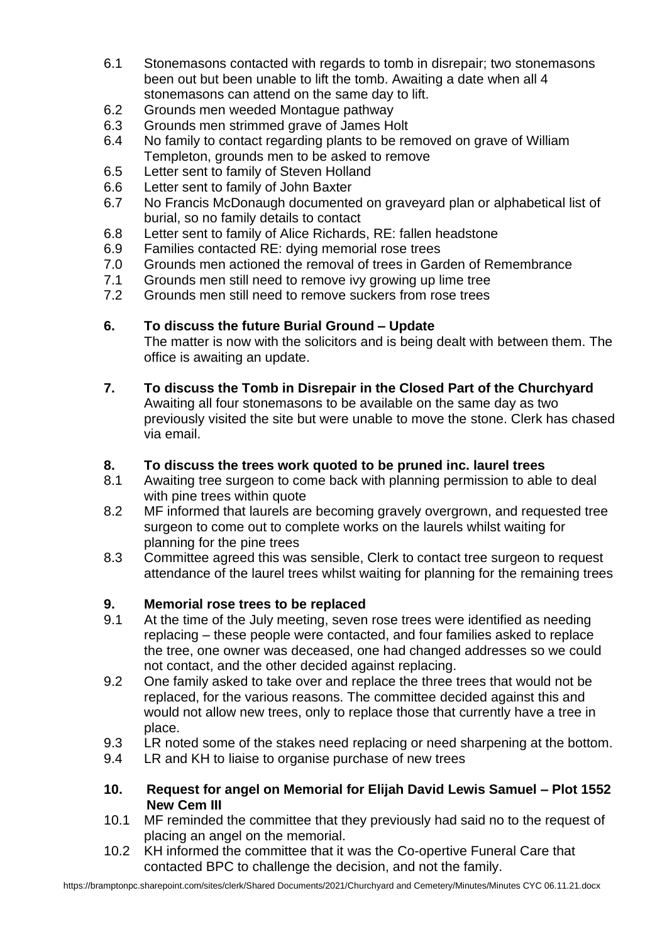- 6.1 Stonemasons contacted with regards to tomb in disrepair; two stonemasons been out but been unable to lift the tomb. Awaiting a date when all 4 stonemasons can attend on the same day to lift.
- 6.2 Grounds men weeded Montague pathway
- 6.3 Grounds men strimmed grave of James Holt
- 6.4 No family to contact regarding plants to be removed on grave of William Templeton, grounds men to be asked to remove
- 6.5 Letter sent to family of Steven Holland
- 6.6 Letter sent to family of John Baxter
- 6.7 No Francis McDonaugh documented on graveyard plan or alphabetical list of burial, so no family details to contact
- 6.8 Letter sent to family of Alice Richards, RE: fallen headstone
- 6.9 Families contacted RE: dying memorial rose trees
- 7.0 Grounds men actioned the removal of trees in Garden of Remembrance
- 7.1 Grounds men still need to remove ivy growing up lime tree
- 7.2 Grounds men still need to remove suckers from rose trees

### **6. To discuss the future Burial Ground – Update**

The matter is now with the solicitors and is being dealt with between them. The office is awaiting an update.

**7. To discuss the Tomb in Disrepair in the Closed Part of the Churchyard** Awaiting all four stonemasons to be available on the same day as two previously visited the site but were unable to move the stone. Clerk has chased via email.

### **8. To discuss the trees work quoted to be pruned inc. laurel trees**

- 8.1 Awaiting tree surgeon to come back with planning permission to able to deal with pine trees within quote
- 8.2 MF informed that laurels are becoming gravely overgrown, and requested tree surgeon to come out to complete works on the laurels whilst waiting for planning for the pine trees
- 8.3 Committee agreed this was sensible, Clerk to contact tree surgeon to request attendance of the laurel trees whilst waiting for planning for the remaining trees

#### **9. Memorial rose trees to be replaced**

- 9.1 At the time of the July meeting, seven rose trees were identified as needing replacing – these people were contacted, and four families asked to replace the tree, one owner was deceased, one had changed addresses so we could not contact, and the other decided against replacing.
- 9.2 One family asked to take over and replace the three trees that would not be replaced, for the various reasons. The committee decided against this and would not allow new trees, only to replace those that currently have a tree in place.
- 9.3 LR noted some of the stakes need replacing or need sharpening at the bottom.
- 9.4 LR and KH to liaise to organise purchase of new trees
- **10. Request for angel on Memorial for Elijah David Lewis Samuel – Plot 1552 New Cem III**
- 10.1 MF reminded the committee that they previously had said no to the request of placing an angel on the memorial.
- 10.2 KH informed the committee that it was the Co-opertive Funeral Care that contacted BPC to challenge the decision, and not the family.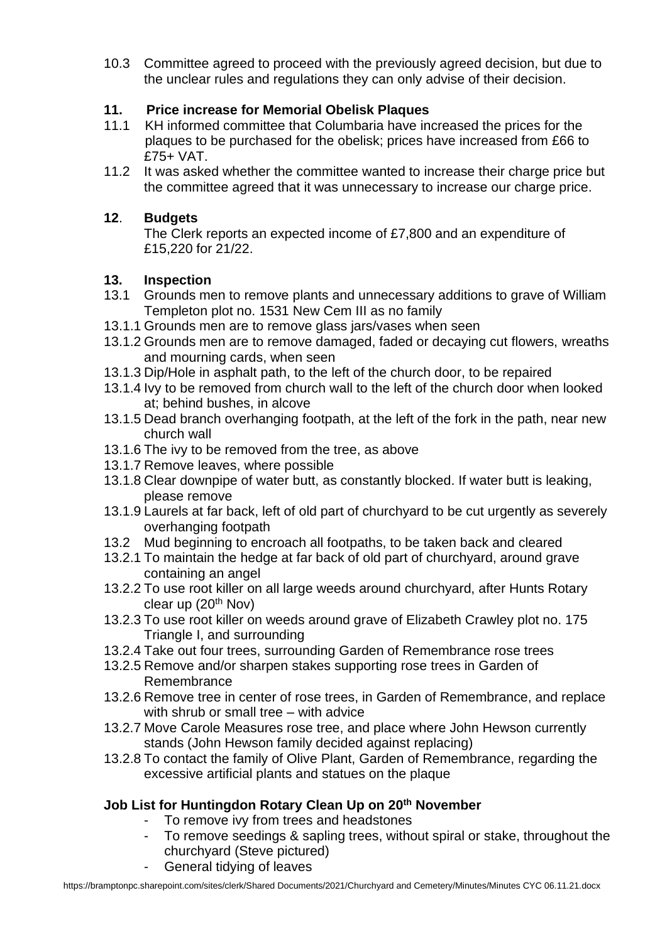10.3 Committee agreed to proceed with the previously agreed decision, but due to the unclear rules and regulations they can only advise of their decision.

## **11. Price increase for Memorial Obelisk Plaques**

- 11.1 KH informed committee that Columbaria have increased the prices for the plaques to be purchased for the obelisk; prices have increased from £66 to £75+ VAT.
- 11.2 It was asked whether the committee wanted to increase their charge price but the committee agreed that it was unnecessary to increase our charge price.

## **12**. **Budgets**

The Clerk reports an expected income of £7,800 and an expenditure of £15,220 for 21/22.

## **13. Inspection**

- 13.1 Grounds men to remove plants and unnecessary additions to grave of William Templeton plot no. 1531 New Cem III as no family
- 13.1.1 Grounds men are to remove glass jars/vases when seen
- 13.1.2 Grounds men are to remove damaged, faded or decaying cut flowers, wreaths and mourning cards, when seen
- 13.1.3 Dip/Hole in asphalt path, to the left of the church door, to be repaired
- 13.1.4 Ivy to be removed from church wall to the left of the church door when looked at; behind bushes, in alcove
- 13.1.5 Dead branch overhanging footpath, at the left of the fork in the path, near new church wall
- 13.1.6 The ivy to be removed from the tree, as above
- 13.1.7 Remove leaves, where possible
- 13.1.8 Clear downpipe of water butt, as constantly blocked. If water butt is leaking, please remove
- 13.1.9 Laurels at far back, left of old part of churchyard to be cut urgently as severely overhanging footpath
- 13.2 Mud beginning to encroach all footpaths, to be taken back and cleared
- 13.2.1 To maintain the hedge at far back of old part of churchyard, around grave containing an angel
- 13.2.2 To use root killer on all large weeds around churchyard, after Hunts Rotary clear up  $(20<sup>th</sup>$  Nov)
- 13.2.3 To use root killer on weeds around grave of Elizabeth Crawley plot no. 175 Triangle I, and surrounding
- 13.2.4 Take out four trees, surrounding Garden of Remembrance rose trees
- 13.2.5 Remove and/or sharpen stakes supporting rose trees in Garden of Remembrance
- 13.2.6 Remove tree in center of rose trees, in Garden of Remembrance, and replace with shrub or small tree – with advice
- 13.2.7 Move Carole Measures rose tree, and place where John Hewson currently stands (John Hewson family decided against replacing)
- 13.2.8 To contact the family of Olive Plant, Garden of Remembrance, regarding the excessive artificial plants and statues on the plaque

## **Job List for Huntingdon Rotary Clean Up on 20th November**

- To remove ivy from trees and headstones
- To remove seedings & sapling trees, without spiral or stake, throughout the churchyard (Steve pictured)
- General tidying of leaves